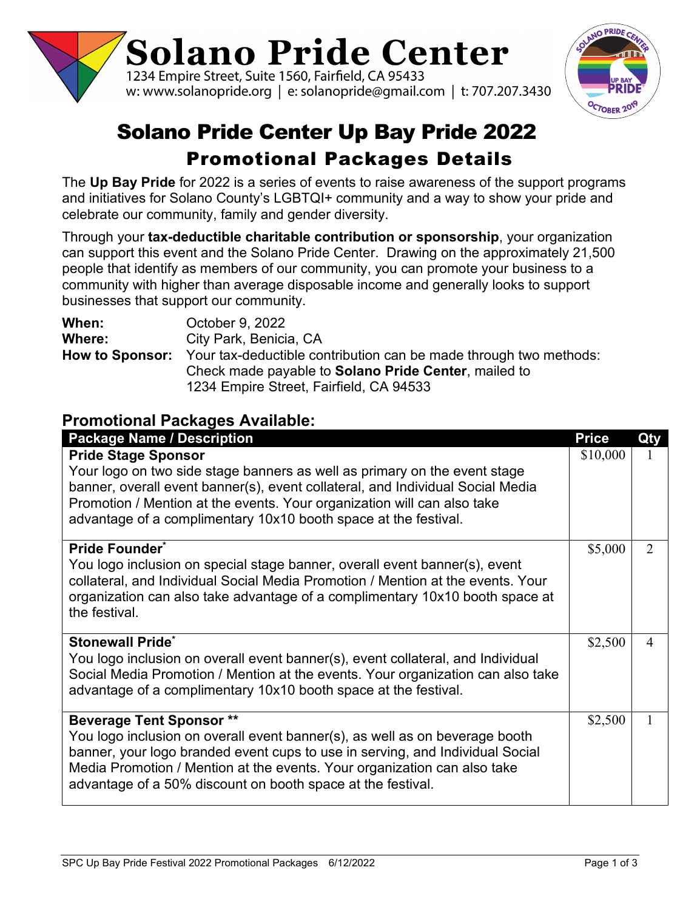



# Solano Pride Center Up Bay Pride 2022 Promotional Packages Details

The **Up Bay Pride** for 2022 is a series of events to raise awareness of the support programs and initiatives for Solano County's LGBTQI+ community and a way to show your pride and celebrate our community, family and gender diversity.

Through your **tax-deductible charitable contribution or sponsorship**, your organization can support this event and the Solano Pride Center. Drawing on the approximately 21,500 people that identify as members of our community, you can promote your business to a community with higher than average disposable income and generally looks to support businesses that support our community.

| When:                  | October 9, 2022                                                   |
|------------------------|-------------------------------------------------------------------|
| Where:                 | City Park, Benicia, CA                                            |
| <b>How to Sponsor:</b> | Your tax-deductible contribution can be made through two methods: |
|                        | Check made payable to <b>Solano Pride Center</b> , mailed to      |
|                        | 1234 Empire Street, Fairfield, CA 94533                           |

### **Promotional Packages Available:**

| <b>Package Name / Description</b>                                               | <b>Price</b> | <b>Qty</b>     |
|---------------------------------------------------------------------------------|--------------|----------------|
| <b>Pride Stage Sponsor</b>                                                      | \$10,000     |                |
| Your logo on two side stage banners as well as primary on the event stage       |              |                |
| banner, overall event banner(s), event collateral, and Individual Social Media  |              |                |
| Promotion / Mention at the events. Your organization will can also take         |              |                |
| advantage of a complimentary 10x10 booth space at the festival.                 |              |                |
| Pride Founder <sup>*</sup>                                                      | \$5,000      | 2              |
| You logo inclusion on special stage banner, overall event banner(s), event      |              |                |
| collateral, and Individual Social Media Promotion / Mention at the events. Your |              |                |
| organization can also take advantage of a complimentary 10x10 booth space at    |              |                |
| the festival.                                                                   |              |                |
| <b>Stonewall Pride*</b>                                                         | \$2,500      | $\overline{4}$ |
| You logo inclusion on overall event banner(s), event collateral, and Individual |              |                |
| Social Media Promotion / Mention at the events. Your organization can also take |              |                |
| advantage of a complimentary 10x10 booth space at the festival.                 |              |                |
| <b>Beverage Tent Sponsor **</b>                                                 | \$2,500      |                |
| You logo inclusion on overall event banner(s), as well as on beverage booth     |              |                |
| banner, your logo branded event cups to use in serving, and Individual Social   |              |                |
| Media Promotion / Mention at the events. Your organization can also take        |              |                |
| advantage of a 50% discount on booth space at the festival.                     |              |                |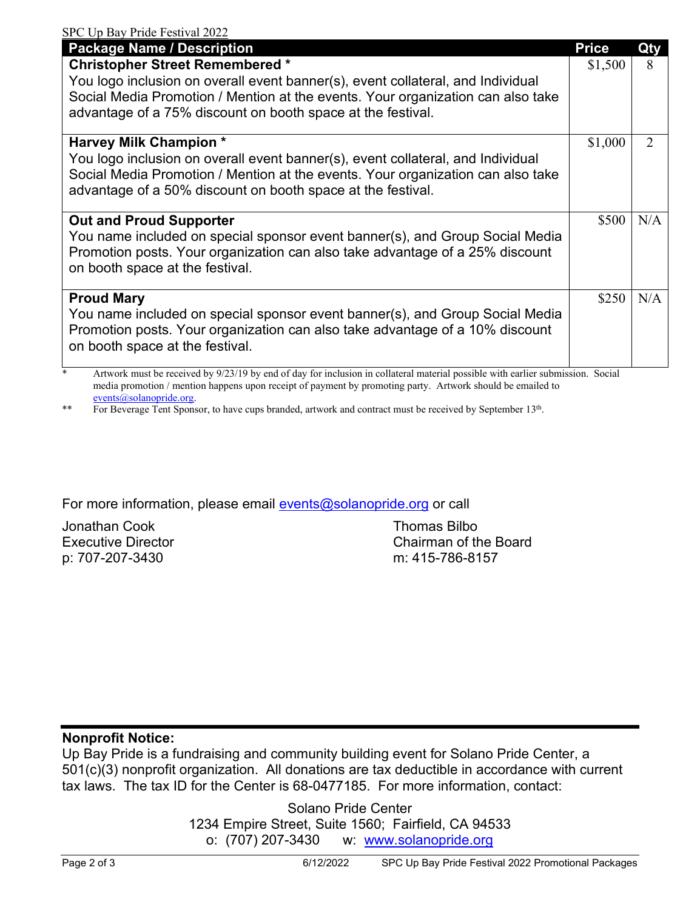| SPC Up Bay Pride Festival 2022                                                  |              |                |
|---------------------------------------------------------------------------------|--------------|----------------|
| <b>Package Name / Description</b>                                               | <b>Price</b> | Qty            |
| <b>Christopher Street Remembered*</b>                                           | \$1,500      | 8              |
| You logo inclusion on overall event banner(s), event collateral, and Individual |              |                |
| Social Media Promotion / Mention at the events. Your organization can also take |              |                |
| advantage of a 75% discount on booth space at the festival.                     |              |                |
| <b>Harvey Milk Champion *</b>                                                   | \$1,000      | $\overline{2}$ |
| You logo inclusion on overall event banner(s), event collateral, and Individual |              |                |
| Social Media Promotion / Mention at the events. Your organization can also take |              |                |
| advantage of a 50% discount on booth space at the festival.                     |              |                |
| <b>Out and Proud Supporter</b>                                                  | \$500        | N/A            |
| You name included on special sponsor event banner(s), and Group Social Media    |              |                |
| Promotion posts. Your organization can also take advantage of a 25% discount    |              |                |
| on booth space at the festival.                                                 |              |                |
| <b>Proud Mary</b>                                                               | \$250        | N/A            |
| You name included on special sponsor event banner(s), and Group Social Media    |              |                |
| Promotion posts. Your organization can also take advantage of a 10% discount    |              |                |
| on booth space at the festival.                                                 |              |                |
|                                                                                 |              |                |

Artwork must be received by 9/23/19 by end of day for inclusion in collateral material possible with earlier submission. Social media promotion / mention happens upon receipt of payment by promoting party. Artwork should be emailed to events@solanopride.org.

\*\* For Beverage Tent Sponsor, to have cups branded, artwork and contract must be received by September 13<sup>th</sup>.

For more information, please email [events@solanopride.org](mailto:events@solanopride.org) or call

Jonathan Cook Thomas Bilbo p: 707-207-3430

Executive Director Executive Director Chairman of the Board<br>
n: 707-207-3430<br>
m: 415-786-8157

#### **Nonprofit Notice:**

Up Bay Pride is a fundraising and community building event for Solano Pride Center, a 501(c)(3) nonprofit organization. All donations are tax deductible in accordance with current tax laws. The tax ID for the Center is 68-0477185. For more information, contact:

> Solano Pride Center 1234 Empire Street, Suite 1560; Fairfield, CA 94533 o: (707) 207-3430 w: [www.solanopride.org](http://www.solanopride.org/)